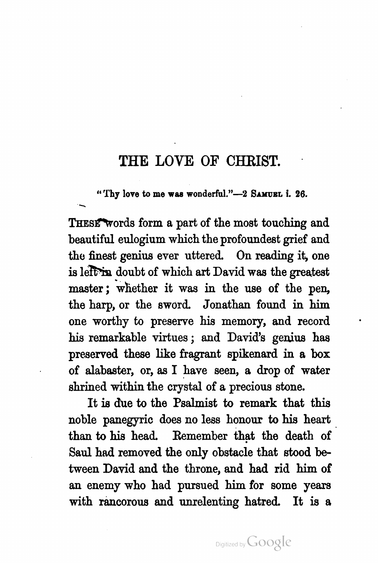## THE LOVE OF CHRIST.

"Thy love to me was wonderful."-2 SAMUEL i. 26.

THESE Words form a part of the most touching and beautiful eulogium which the profoundest grief and the finest genius ever uttered. On reading it, one is left in doubt of which art David was the greatest master; whether it was in the use of the pen, the harp, or the sword. Jonathan found in him one worthy to preserve his memory, and record his remarkable virtues ; and David's genius has preserved these like fragrant spikenard in a box of alabaster, or, as I have seen , a drop of water shrined within the crystal of a precious stone.

It is due to the Psalmist to remark that this noble panegyric does no less honour to his heart than to his head. Remember that the death of Saul had removed the only obstacle that stood be tween David and the throne, and had rid him of an enemy who had pursued him for some years with rancorous and unrelenting hatred. It is a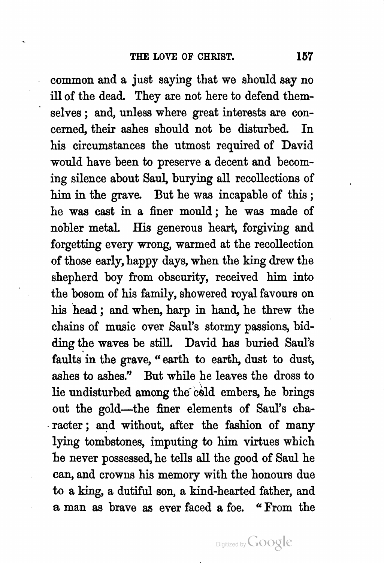common and a just saying that we should say no ill of the dead. They are not here to defend them selves ; and, unless where great interests are con cerned, their ashes should not be disturbed. In his circumstances the utmost required of David would have been to preserve a decent and becom ing silence about Saul, burying all recollections of him in the grave. But he was incapable of this ; he was cast in a finer mould ; he was made of nobler metal. His generous heart, forgiving and forgetting every wrong, warmed at the recollection of those early, happy days, when the king drew the shepherd boy from obscurity, received him into the bosom of his family, showered royal favours on his head ; and when, harp in hand, he threw the chains of music over Saul's stormy passions, bid ding the waves be still. David has buried Saul's faults in the grave, " earth to earth, dust to dust, ashes to ashes." But while he leaves the dross to lie undisturbed among the cold embers, he brings out the gold-the finer elements of Saul's character ; and without, after the fashion of many lying tombstones, imputing to him virtues which he never possessed, he tells all the good of Saul he can, and crowns his memory with the honours due to a king, a dutiful son , a kind -hearted father, and a man as brave as ever faced a foe. " From the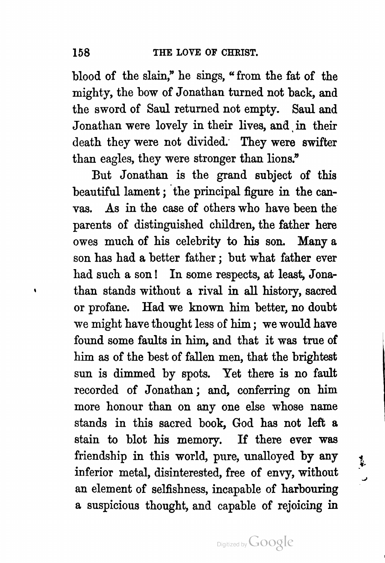blood of the slain," he sings, " from the fat of the mighty, the bow of Jonathan turned not back, and the sword of Saul returned not empty. Saul and Jonathan were lovely in their lives, and in their death they were not divided. They were swifter than eagles, they were stronger than lions."

vas. As in the case of others who have been the But Jonathan is the grand subject of this beautiful lament ; the principal figure in the can parents of distinguished children, the father here owes much of his celebrity to his son. Many a son has had a better father , but what father ever had such a son ! In some respects, at least, Jona than stands without a rival in all history, sacred or profane. Had we known him better, no doubt we might have thought less of him; we would have found some faults in him, and that it was true of him as of the best of fallen men, that the brightest sun is dimmed by spots. Yet there is no fault recorded of Jonathan ; and, conferring on him more honour than on any one else whose name stands in this sacred book, God has not left a stain to blot his memory. If there ever was friendship in this world, pure, unalloyed by any inferior metal, disinterested, free of envy, without an element of selfishness, incapable of harbouring a suspicious thought, and capable of rejoicing in

Digitized by Google

ł.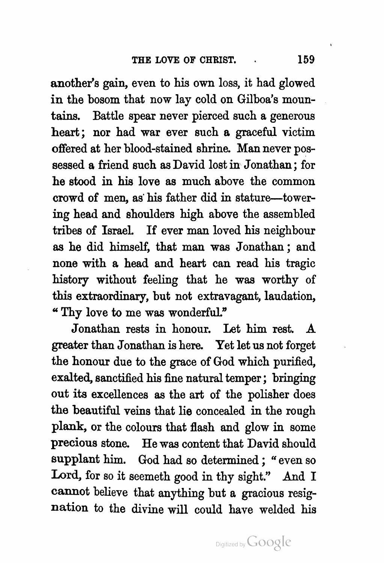another's gain, even to his own loss, it had glowed in the bosom that now lay cold on Gilboa's moun tains. Battle spear never pierced such a generous heart: nor had war ever such a graceful victim offered at her blood -stained shrine. Man never pos sessed a friend such as David lost in Jonathan ; for he stood in his love as much above the common crowd of men , as his father did in stature — tower ing head and shoulders high above the assembled tribes of Israel. If ever man loved his neighbour as he did himself, that man was Jonathan ; and none with a head and heart can read his tragic history without feeling that he was worthy of this extraordinary, but not extravagant, laudation, Thy love to me was wonderful."

Jonathan rests in honour. Let him rest. A greater than Jonathan is here. Yet let us not forget the honour due to the grace of God which purified, exalted, sanctified his fine natural temper; bringing out its excellences as the art of the polisher does the beautiful veins that lie concealed in the rough plank, or the colours that flash and glow in some precious stone. He was content that David should supplant him. God had so determined; "even so Lord, for so it seemeth good in thy sight." And I cannot believe that anything but a gracious resig nation to the divine will could have welded his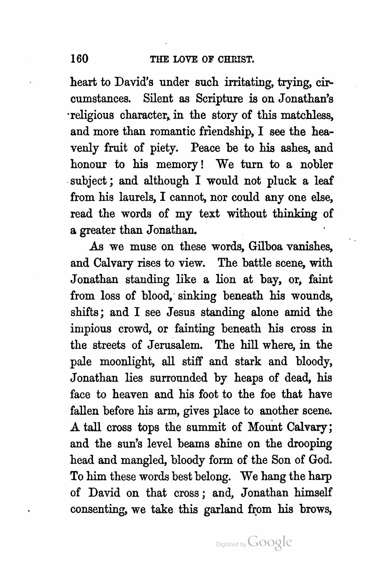heart to David's under such irritating, trying, cir cumstances. Silent as Scripture is on Jonathan's religious character, in the story of this matchless, and more than romantic friendship, I see the hea venly fruit of piety. Peace be to his ashes, and honour to his memory ! We turn to a nobler subject ; and although I would not pluck a leaf from his laurels, I cannot, nor could any one else, read the words of my text without thinking of a greater than Jonathan.

As we muse on these words, Gilboa vanishes, and Calvary rises to view. The battle scene, with Jonathan standing like a lion at bay, or, faint from loss of blood, sinking beneath his wounds, shifts ; and I see Jesus standing alone amid the impious crowd, or fainting beneath his cross in the streets of Jerusalem. The hill where, in the pale moonlight, all stiff and stark and bloody, Jonathan lies surrounded by heaps of dead, his face to heaven and his foot to the foe that have fallen before his arm, gives place to another scene. A tall cross tops the summit of Mount Calvary ; and the sun's level beams shine on the drooping head and mangled, bloody form of the Son of God. To him these words best belong. We hang the harp of David on that cross ; and, Jonathan himself consenting, we take this garland from his brows,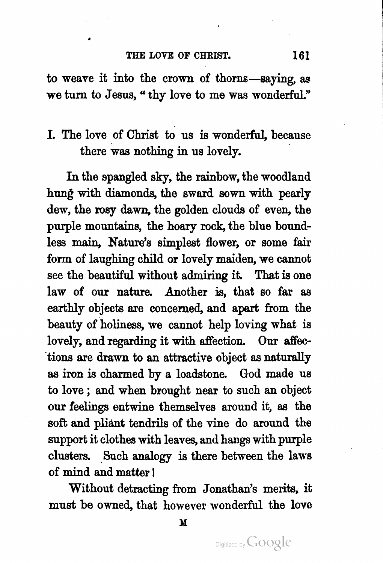to weave it into the crown of thorns—saying, as we turn to Jesus, " thy love to me was wonderful."

## I. The love of Christ to us is wonderful, because there was nothing in us lovely.

In the spangled sky, the rainbow, the woodland hung with diamonds, the sward sown with pearly dew, the rosy dawn, the golden clouds of even, the purple mountains, the hoary rock, the blue bound less main, Nature's simplest flower, or some fair form of laughing child or lovely maiden, we cannot see the beautiful without admiring it. That is one law of our nature. Another is, that so far as earthly objects are concerned, and apart from the beauty of holiness, we cannot help loving what is lovely, and regarding it with affection. Our affections are drawn to an attractive object as naturally as iron is charmed by a loadstone. God made us to love ; and when brought near to such an object our feelings entwine themselves around it, as the soft and pliant tendrils of the vine do around the support it clothes with leaves, and hangs with purple clusters. Such analogy is there between the laws of mind and matter !

Without detracting from Jonathan's merits, it must be owned, that however wonderful the love

M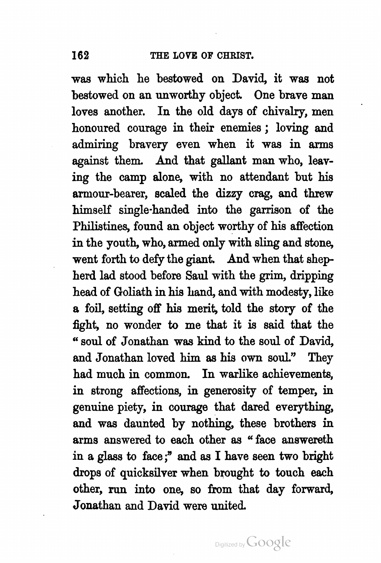was which he bestowed on David, it was not bestowed on an unworthy object. One brave man loves another. In the old days of chivalry, men honoured courage in their enemies ; loving and admiring bravery even when it was in arms against them. And that gallant man who, leaving the camp alone, with no attendant but his armour-bearer, scaled the dizzy crag, and threw himself single -handed into the garrison of the Philistines, found an object worthy of his affection in the youth, who, armed only with sling and stone, went forth to defy the giant. And when that shep herd lad stood before Saul with the grim, dripping head of Goliath in his hand, and with modesty, like a foil, setting off his merit, told the story of the fight, no wonder to me that it is said that the " soul of Jonathan was kind to the soul of David, and Jonathan loved him as his own soul." They had much in common. In warlike achievements, in strong affections, in generosity of temper, in genuine piety, in courage that dared everything, and was daunted by nothing, these brothers in arms answered to each other as " face answereth in a glass to face ;" and as I have seen two bright drops of quicksilver when brought to touch each other, run into one, so from that day forward, Jonathan and David were united.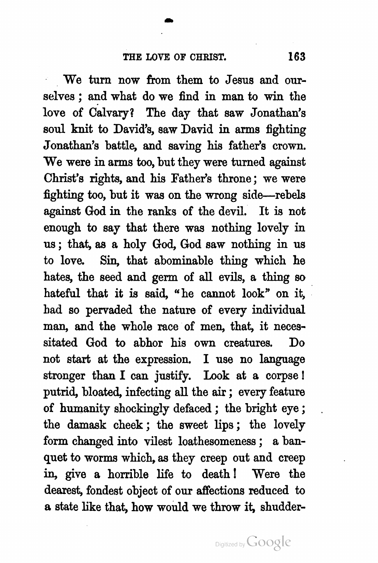We turn now from them to Jesus and our selves ; and what do we find in man to win the love of Calvary? The day that saw Jonathan's soul knit to David's, saw David in arms fighting Jonathan's battle, and saving his father's crown. We were in arms too, but they were turned against Christ's rights, and his Father's throne ; we were fighting too, but it was on the wrong side- rebels against God in the ranks of the devil. It is not enough to say that there was nothing lovely in us ; that, as a holy God, God saw nothing in us to love. Sin, that abominable thing which he hates, the seed and germ of all evils, a thing so hateful that it is said, "he cannot look" on it, had so pervaded the nature of every individual man, and the whole race of men, that, it necessitated God to abhor his own creatures. Do not start at the expression. I use no language stronger than I can justify. Look at a corpse ! putrid, bloated, infecting all the air; every feature of humanity shockingly defaced ; the bright eye ; the damask cheek ; the sweet lips ; the lovely form changed into vilest loathesomeness ; a ban quet to worms which, as they creep out and creep in, give a horrible life to death! Were the dearest, fondest object of our affections reduced to a state like that, how would we throw it, shudder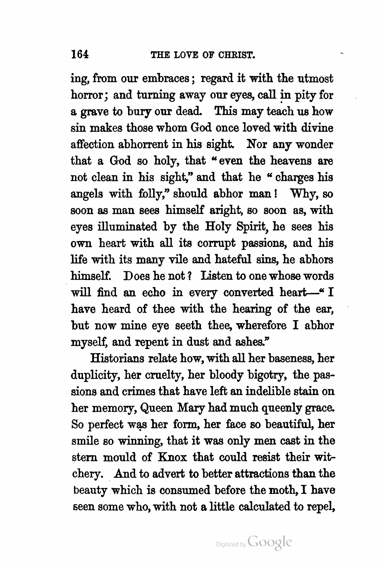ing, from our embraces; regard it with the utmost horror; and turning away our eyes, call in pity for a grave to bury our dead. This may teach us how sin makes those whom God once loved with divine affection abhorrent in his sight. Nor any wonder that a God so holy, that " even the heavens are not clean in his sight," and that he " charges his angels with folly," should abhor man ! Why, so soon as man sees himself aright, so soon as, with eyes illuminated by the Holy Spirit, he sees his own heart with all its corrupt passions, and his life with its many vile and hateful sins, he abhors himself. Does he not ? Listen to one whose words will find an echo in every converted heart-" I have heard of thee with the hearing of the ear, but now mine eye seeth thee, wherefore I abhor myself, and repent in dust and ashes."

Historians relate how, with all her baseness, her duplicity, her cruelty, her bloody bigotry, the passions and crimes that have left an indelible stain on her memory, Queen Mary had much queenly grace. So perfect was her form, her face so beautiful, her smile so winning, that it was only men cast in the stern mould of Knox that could resist their wit chery. And to advert to better attractions than the beauty which is consumed before the moth, I have seen some who, with not a little calculated to repel,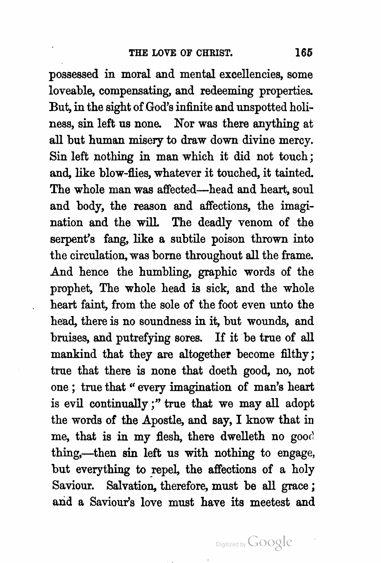possessed in moral and mental excellencies, some loveable, compensating, and redeeming properties. But, in the sight of God's infinite and unspotted holi ness, sin left us none. Nor was there anything at all but human misery to draw down divine mercy. Sin left nothing in man which it did not touch ; and, like blow-flies, whatever it touched, it tainted. The whole man was affected-head and heart, soul and body, the reason and affections, the imagi nation and the will. The deadly venom of the serpent's fang, like a subtile poison thrown into the circulation, was borne throughout all the frame. And hence the humbling, graphic words of the prophet, The whole head is sick , and the whole heart faint, from the sole of the foot even unto the head, there is no soundness in it, but wounds, and bruises, and putrefying sores. If it be true of all mankind that they are altogether become filthy; true that there is none that doeth good, no, not one ; true that " every imagination of man's heart is evil continually ;" true that we may all adopt the words of the Apostle, and say, I know that in me, that is in my flesh, there dwelleth no good thing,—then sin left us with nothing to engage, but everything to repel, the affections of a holy Saviour. Salvation, therefore, must be all grace ; and a Saviour's love must have its meetest and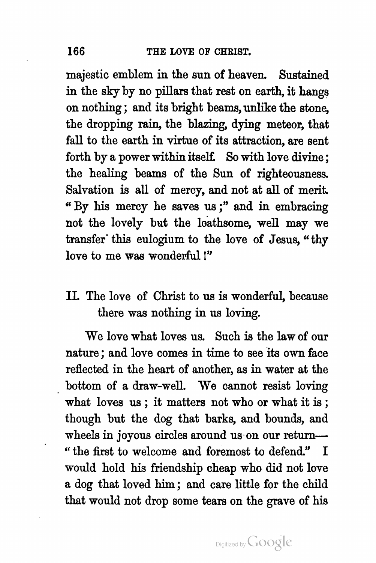majestic emblem in the sun of heaven. Sustained in the sky by no pillars that rest on earth, it hangs on nothing; and its bright beams, unlike the stone, the dropping rain, the blazing, dying meteor, that fall to the earth in virtue of its attraction, are sent forth by a power within itself. So with love divine; the healing beams of the Sun of righteousness. Salvation is all of mercy, and not at all of merit. " By his mercy he saves us ; " and in embracing not the lovely but the loathsome, well may we transfer this eulogium to the love of Jesus, " thy love to me was wonderful !"

## IL The love of Christ to us is wonderful, because there was nothing in us loving.

We love what loves us. Such is the law of our nature ; and love comes in time to see its own face reflected in the heart of another, as in water at the bottom of a draw -well. We cannot resist loving what loves us ; it matters not who or what it is ; though but the dog that barks, and bounds, and wheels in joyous circles around us on our return— " the first to welcome and foremost to defend." I would hold his friendship cheap who did not love a dog that loved him ; and care little for the child that would not drop some tears on the grave of his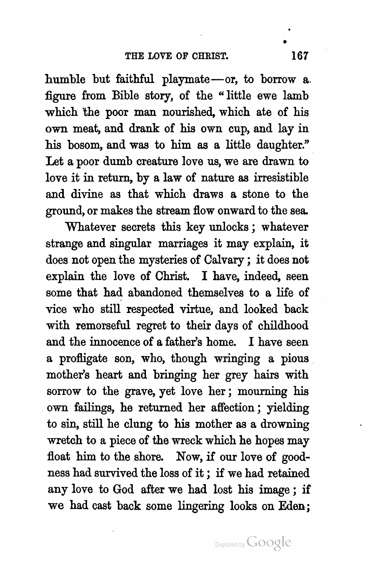Let a poor dumb creature love us, we are drawn to humble but faithful playmate — or, to borrow a. figure from Bible story, of the " little ewe lamb which the poor man nourished, which ate of his own meat, and drank of his own cup, and lay in his bosom, and was to him as a little daughter." love it in return, by a law of nature as irresistible and divine as that which draws a stone to the ground, or makes the stream flow onward to the sea .

Whatever secrets this key unlocks; whatever strange and singular marriages it may explain, it does not open the mysteries of Calvary ; it does not explain the love of Christ. I have, indeed, seen some that had abandoned themselves to a life of vice who still respected virtue, and looked back with remorseful regret to their days of childhood and the innocence of a father's home. I have seen a profligate son, who, though wringing a pious mother's heart and bringing her grey hairs with sorrow to the grave, yet love her ; mourning his own failings, he returned her affection ; yielding to sin, still he clung to his mother as a drowning wretch to a piece of the wreck which he hopes may float him to the shore. Now, if our love of good ness had survived the loss of it ; if we had retained any love to God after we had lost his image ; if we had cast back some lingering looks on Eden ;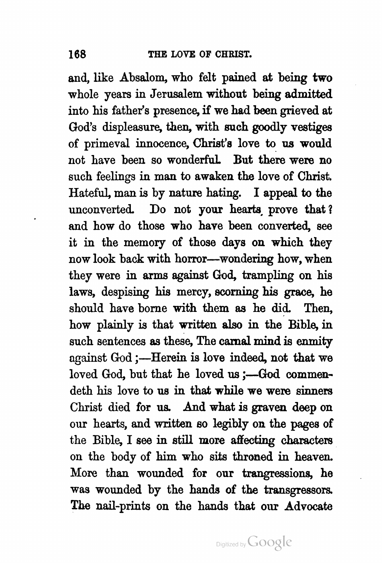and, like Absalom, who felt pained at being two whole years in Jerusalem without being admitted into his father's presence, if we had been grieved at God's displeasure, then, with such goodly vestiges of primeval innocence, Christ's love to us would not have been so wonderful. But there were no such feelings in man to awaken the love of Christ. Hateful, man is by nature hating. I appeal to the unconverted. Do not your hearts prove that? and how do those who have been converted, see it in the memory of those days on which they now look back with horror---wondering how, when they were in arms against God, trampling on his laws, despising his mercy, scorning his grace, he should have borne with them as he did. Then, how plainly is that written also in the Bible, in such sentences as these, The carnal mind is enmity against God ;- Herein is love indeed, not that we loved God, but that he loved us ;- God commendeth his love to us in that while we were sinners Christ died for us. And what is graven deep on our hearts, and written so legibly on the pages of the Bible, I see in still more affecting characters on the body of him who sits throned in heaven. More than wounded for our trangressions, he was wounded by the hands of the transgressors. The nail-prints on the hands that our Advocate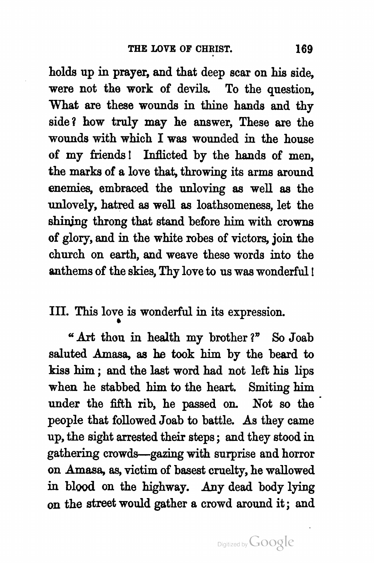holds up in prayer, and that deep scar on his side, were not the work of devils. To the question, What are these wounds in thine hands and thy side ? how truly may he answer, These are the wounds with which I was wounded in the house of my friends! Inflicted by the hands of men, the marks of a love that, throwing its arms around enemies, embraced the unloving as well as the unlovely, hatred as well as loathsomeness, let the shining throng that stand before him with crowns of glory, and in the white robes of victors, join the church on earth, and weave these words into the anthems of the skies, Thy love to us was wonderful !

III. This love is wonderful in its expression.

" Art thou in health my brother?" So Joab saluted Amasa, as he took him by the beard to kiss him ; and the last word had not left his lips when he stabbed him to the heart. Smiting him under the fifth rib, he passed on . Not so the people that followed Joab to battle. As they came up, the sight arrested their steps; and they stood in gathering crowds — gazing with surprise and horror on Amasa, as, victim of basest cruelty, he wallowed in blood on the highway. Any dead body lying on the street would gather a crowd around it ; and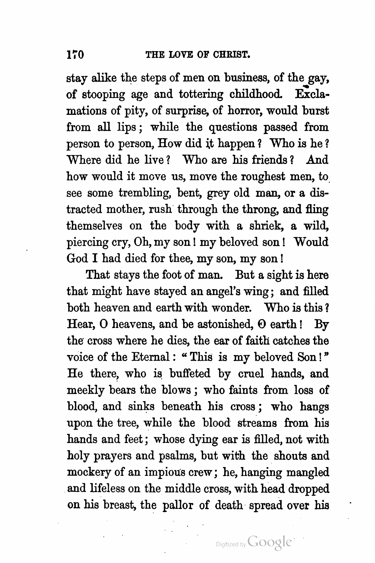stay alike the steps of men on business, of the gay,<br>of stooping age and tottering childhood. Exclaof stooping age and tottering childhood. mations of pity, of surprise, of horror, would burst from all lips ; while the questions passed from person to person, How did it happen? Who is he? Where did he live ? Who are his friends ? And how would it move us, move the roughest men, to see some trembling, bent, grey old man, or a dis tracted mother, rush through the throng, and fling themselves on the body with a shriek, a wild, piercing cry , Oh, my son ! my beloved son ! Would God I had died for thee, my son, my son !

That stays the foot of man. But a sight is here that might have stayed an angel's wing ; and filled both heaven and earth with wonder. Who is this ? Hear,  $O$  heavens, and be astonished,  $O$  earth ! By the cross where he dies, the ear of faith catches the voice of the Eternal : "This is my beloved Son!" He there, who is buffeted by cruel hands, and meekly bears the blows ; who faints from loss of blood, and sinks beneath his cross ; who hangs upon the tree, while the blood streams from his hands and feet; whose dying ear is filled, not with holy prayers and psalms, but with the shouts and mockery of an impious crew ; he, hanging mangled and lifeless on the middle cross, with head dropped on his breast, the pallor of death spread over his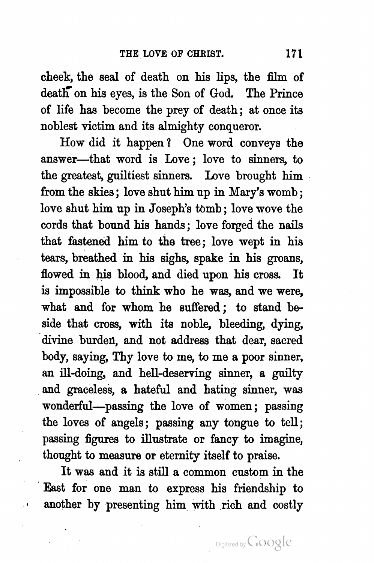cheek, the seal of death on his lips, the film of death on his eyes, is the Son of God. The Prince of life has become the prey of death ; at once its noblest victim and its almighty conqueror.

flowed in his blood, and died upon his cross. It How did it happen ? One word conveys the answer---that word is Love; love to sinners, to the greatest, guiltiest sinners. Love brought him from the skies; love shut him up in Mary's womb; love shut him up in Joseph's tomb; love wove the cords that bound his hands; love forged the nails that fastened him to the tree; love wept in his tears, breathed in his sighs, spake in his groans, is impossible to think who he was, and we were, what and for whom he suffered ; to stand be side that cross, with its noble, bleeding, dying, divine burden, and not address that dear, sacred body, saying, Thy love to me, to me a poor sinner, an ill-doing, and hell-deserving sinner, a guilty and graceless, a hateful and hating sinner, was wonderful—passing the love of women; passing the loves of angels; passing any tongue to tell; passing figures to illustrate or fancy to imagine, thought to measure or eternity itself to praise.

It was and it is still a common custom in the East for one man to express his friendship to another by presenting him with rich and costly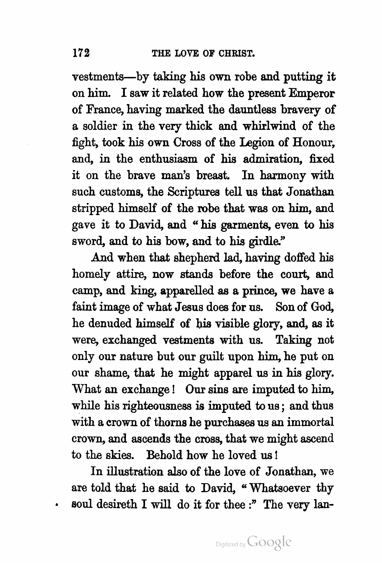vestments—by taking his own robe and putting it on him. I saw it related how the present Emperor of France, having marked the dauntless bravery of a soldier in the very thick and whirlwind of the fight, took his own Cross of the Legion of Honour, and, in the enthusiasm of his admiration, fixed it on the brave man's breast. In harmony with such customs, the Scriptures tell us that Jonathan stripped himself of the robe that was on him, and gave it to David, and " his garments, even to his sword, and to his bow, and to his girdle."

And when that shepherd lad, having doffed his homely attire, now stands before the court, and camp, and king, apparelled as a prince, we have a faint image of what Jesus does for us. Son of God, he denuded himself of his visible glory, and, as it were, exchanged vestments with us. Taking not only our nature but our guilt upon him, he put on our shame, that he might apparel us in his glory. What an exchange! Our sins are imputed to him, while his righteousness is imputed to us ; and thus with a crown of thorns he purchases us an immortal crown, and ascends the cross, that we might ascend to the skies. Behold how he loved us !

In illustration also of the love of Jonathan, we are told that he said to David, " Whatsoever thy soul desireth I will do it for thee :" The very lan-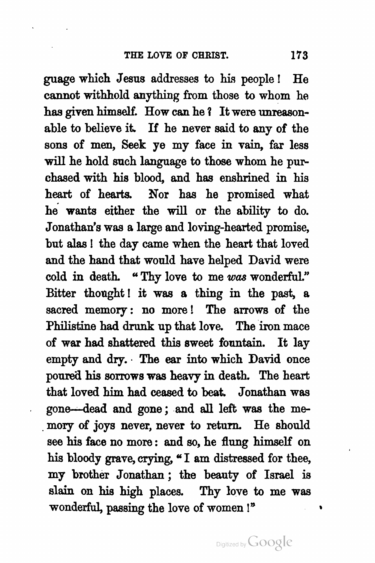guage which Jesus addresses to his people ! He cannot withhold anything from those to whom he has given himself. How can he ? It were unreason able to believe it. If he never said to any of the sons of men, Seek ye my face in vain, far less will he hold such language to those whom he pur chased with his blood, and has enshrined in his heart of hearts. Nor has he promised what he wants either the will or the ability to do. Jonathan's was a large and loving -hearted promise, but alas ! the day came when the heart that loved and the hand that would have helped David were cold in death. "Thy love to me was wonderful." Bitter thought! it was a thing in the past, a sacred memory: no more! The arrows of the Philistine had drunk up that love. The iron mace of war had shattered this sweet fountain. It lay empty and dry. The ear into which David once poured his sorrows was heavy in death. The heart that loved him had ceased to beat. Jonathan was gone - dead and gone ; and all left was the me mory of joys never, never to return. He should see his face no more : and so, he flung himself on his bloody grave, crying, " I am distressed for thee, my brother Jonathan ; the beauty of Israel is slain on his high places. Thy love to me was wonderful, passing the love of women!"